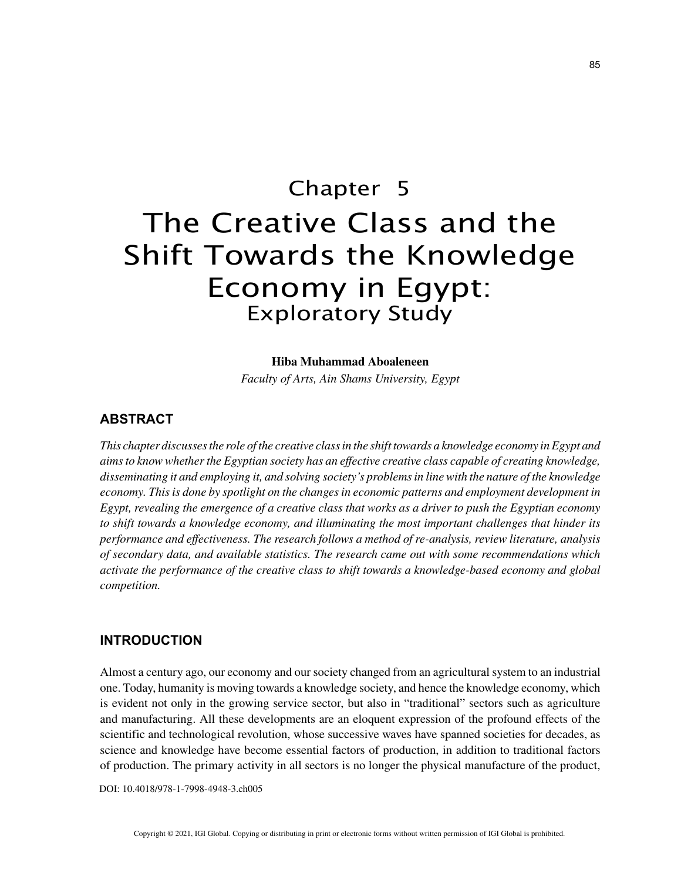# Chapter 5 The Creative Class and the Shift Towards the Knowledge Economy in Egypt: Exploratory Study

## **Hiba Muhammad Aboaleneen**

*Faculty of Arts, Ain Shams University, Egypt*

## **ABSTRACT**

*This chapter discusses the role of the creative class in the shift towards a knowledge economy in Egypt and aims to know whether the Egyptian society has an effective creative class capable of creating knowledge, disseminating it and employing it, and solving society's problems in line with the nature of the knowledge economy. This is done by spotlight on the changes in economic patterns and employment development in Egypt, revealing the emergence of a creative class that works as a driver to push the Egyptian economy to shift towards a knowledge economy, and illuminating the most important challenges that hinder its performance and effectiveness. The research follows a method of re-analysis, review literature, analysis of secondary data, and available statistics. The research came out with some recommendations which activate the performance of the creative class to shift towards a knowledge-based economy and global competition.*

# **INTRODUCTION**

Almost a century ago, our economy and our society changed from an agricultural system to an industrial one. Today, humanity is moving towards a knowledge society, and hence the knowledge economy, which is evident not only in the growing service sector, but also in "traditional" sectors such as agriculture and manufacturing. All these developments are an eloquent expression of the profound effects of the scientific and technological revolution, whose successive waves have spanned societies for decades, as science and knowledge have become essential factors of production, in addition to traditional factors of production. The primary activity in all sectors is no longer the physical manufacture of the product,

DOI: 10.4018/978-1-7998-4948-3.ch005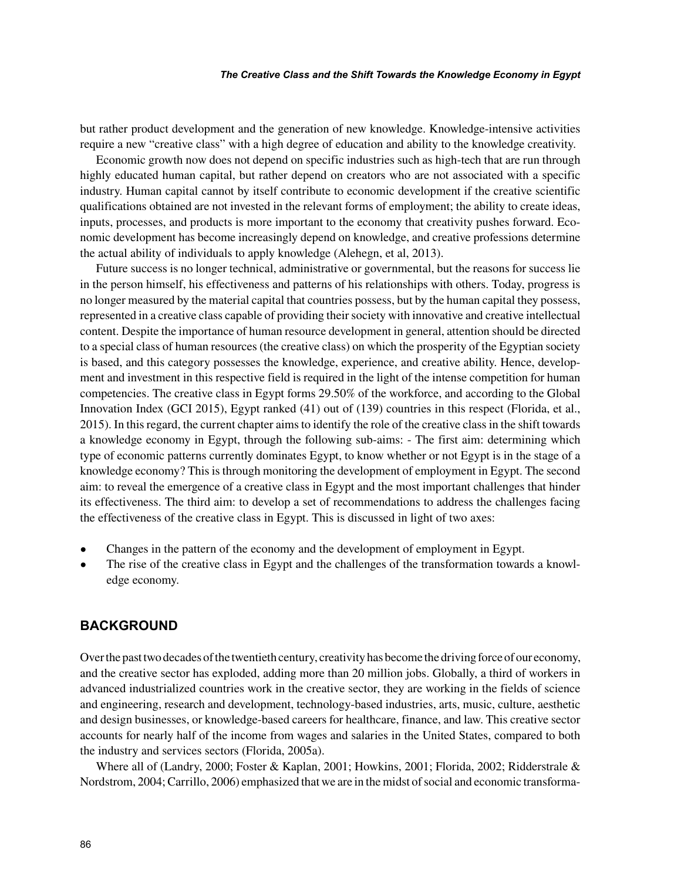#### *The Creative Class and the Shift Towards the Knowledge Economy in Egypt*

but rather product development and the generation of new knowledge. Knowledge-intensive activities require a new "creative class" with a high degree of education and ability to the knowledge creativity.

Economic growth now does not depend on specific industries such as high-tech that are run through highly educated human capital, but rather depend on creators who are not associated with a specific industry. Human capital cannot by itself contribute to economic development if the creative scientific qualifications obtained are not invested in the relevant forms of employment; the ability to create ideas, inputs, processes, and products is more important to the economy that creativity pushes forward. Economic development has become increasingly depend on knowledge, and creative professions determine the actual ability of individuals to apply knowledge (Alehegn, et al, 2013).

Future success is no longer technical, administrative or governmental, but the reasons for success lie in the person himself, his effectiveness and patterns of his relationships with others. Today, progress is no longer measured by the material capital that countries possess, but by the human capital they possess, represented in a creative class capable of providing their society with innovative and creative intellectual content. Despite the importance of human resource development in general, attention should be directed to a special class of human resources (the creative class) on which the prosperity of the Egyptian society is based, and this category possesses the knowledge, experience, and creative ability. Hence, development and investment in this respective field is required in the light of the intense competition for human competencies. The creative class in Egypt forms 29.50% of the workforce, and according to the Global Innovation Index (GCI 2015), Egypt ranked (41) out of (139) countries in this respect (Florida, et al., 2015). In this regard, the current chapter aims to identify the role of the creative class in the shift towards a knowledge economy in Egypt, through the following sub-aims: - The first aim: determining which type of economic patterns currently dominates Egypt, to know whether or not Egypt is in the stage of a knowledge economy? This is through monitoring the development of employment in Egypt. The second aim: to reveal the emergence of a creative class in Egypt and the most important challenges that hinder its effectiveness. The third aim: to develop a set of recommendations to address the challenges facing the effectiveness of the creative class in Egypt. This is discussed in light of two axes:

- Changes in the pattern of the economy and the development of employment in Egypt.
- The rise of the creative class in Egypt and the challenges of the transformation towards a knowledge economy.

# **BACKGROUND**

Over the past two decades of the twentieth century, creativity has become the driving force of our economy, and the creative sector has exploded, adding more than 20 million jobs. Globally, a third of workers in advanced industrialized countries work in the creative sector, they are working in the fields of science and engineering, research and development, technology-based industries, arts, music, culture, aesthetic and design businesses, or knowledge-based careers for healthcare, finance, and law. This creative sector accounts for nearly half of the income from wages and salaries in the United States, compared to both the industry and services sectors (Florida, 2005a).

Where all of (Landry, 2000; Foster & Kaplan, 2001; Howkins, 2001; Florida, 2002; Ridderstrale & Nordstrom, 2004; Carrillo, 2006) emphasized that we are in the midst of social and economic transforma